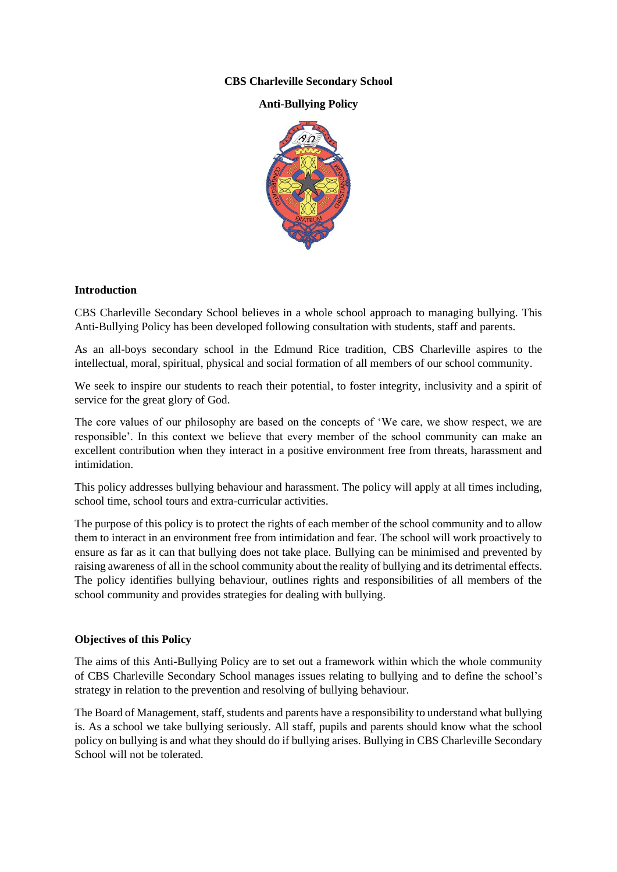## **CBS Charleville Secondary School**

# **Anti-Bullying Policy**



#### **Introduction**

CBS Charleville Secondary School believes in a whole school approach to managing bullying. This Anti-Bullying Policy has been developed following consultation with students, staff and parents.

As an all-boys secondary school in the Edmund Rice tradition, CBS Charleville aspires to the intellectual, moral, spiritual, physical and social formation of all members of our school community.

We seek to inspire our students to reach their potential, to foster integrity, inclusivity and a spirit of service for the great glory of God.

The core values of our philosophy are based on the concepts of 'We care, we show respect, we are responsible'. In this context we believe that every member of the school community can make an excellent contribution when they interact in a positive environment free from threats, harassment and intimidation.

This policy addresses bullying behaviour and harassment. The policy will apply at all times including, school time, school tours and extra-curricular activities.

The purpose of this policy is to protect the rights of each member of the school community and to allow them to interact in an environment free from intimidation and fear. The school will work proactively to ensure as far as it can that bullying does not take place. Bullying can be minimised and prevented by raising awareness of all in the school community about the reality of bullying and its detrimental effects. The policy identifies bullying behaviour, outlines rights and responsibilities of all members of the school community and provides strategies for dealing with bullying.

#### **Objectives of this Policy**

The aims of this Anti-Bullying Policy are to set out a framework within which the whole community of CBS Charleville Secondary School manages issues relating to bullying and to define the school's strategy in relation to the prevention and resolving of bullying behaviour.

The Board of Management, staff, students and parents have a responsibility to understand what bullying is. As a school we take bullying seriously. All staff, pupils and parents should know what the school policy on bullying is and what they should do if bullying arises. Bullying in CBS Charleville Secondary School will not be tolerated.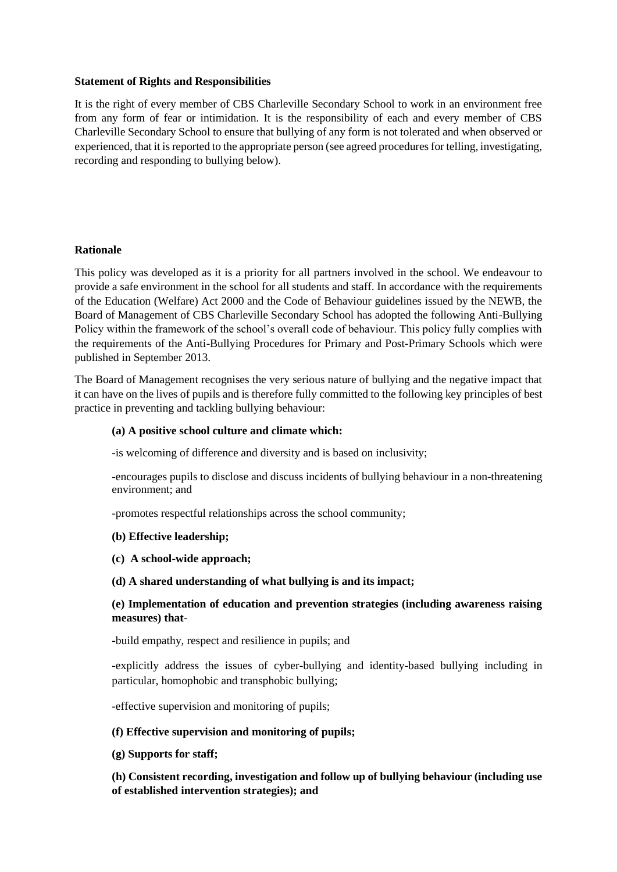#### **Statement of Rights and Responsibilities**

It is the right of every member of CBS Charleville Secondary School to work in an environment free from any form of fear or intimidation. It is the responsibility of each and every member of CBS Charleville Secondary School to ensure that bullying of any form is not tolerated and when observed or experienced, that it is reported to the appropriate person (see agreed procedures for telling, investigating, recording and responding to bullying below).

#### **Rationale**

This policy was developed as it is a priority for all partners involved in the school. We endeavour to provide a safe environment in the school for all students and staff. In accordance with the requirements of the Education (Welfare) Act 2000 and the Code of Behaviour guidelines issued by the NEWB, the Board of Management of CBS Charleville Secondary School has adopted the following Anti-Bullying Policy within the framework of the school's overall code of behaviour. This policy fully complies with the requirements of the Anti-Bullying Procedures for Primary and Post-Primary Schools which were published in September 2013.

The Board of Management recognises the very serious nature of bullying and the negative impact that it can have on the lives of pupils and is therefore fully committed to the following key principles of best practice in preventing and tackling bullying behaviour:

#### **(a) A positive school culture and climate which:**

-is welcoming of difference and diversity and is based on inclusivity;

-encourages pupils to disclose and discuss incidents of bullying behaviour in a non-threatening environment; and

-promotes respectful relationships across the school community;

- **(b) Effective leadership;**
- **(c) A school-wide approach;**
- **(d) A shared understanding of what bullying is and its impact;**

# **(e) Implementation of education and prevention strategies (including awareness raising measures) that**-

-build empathy, respect and resilience in pupils; and

-explicitly address the issues of cyber-bullying and identity-based bullying including in particular, homophobic and transphobic bullying;

-effective supervision and monitoring of pupils;

#### **(f) Effective supervision and monitoring of pupils;**

**(g) Supports for staff;**

**(h) Consistent recording, investigation and follow up of bullying behaviour (including use of established intervention strategies); and**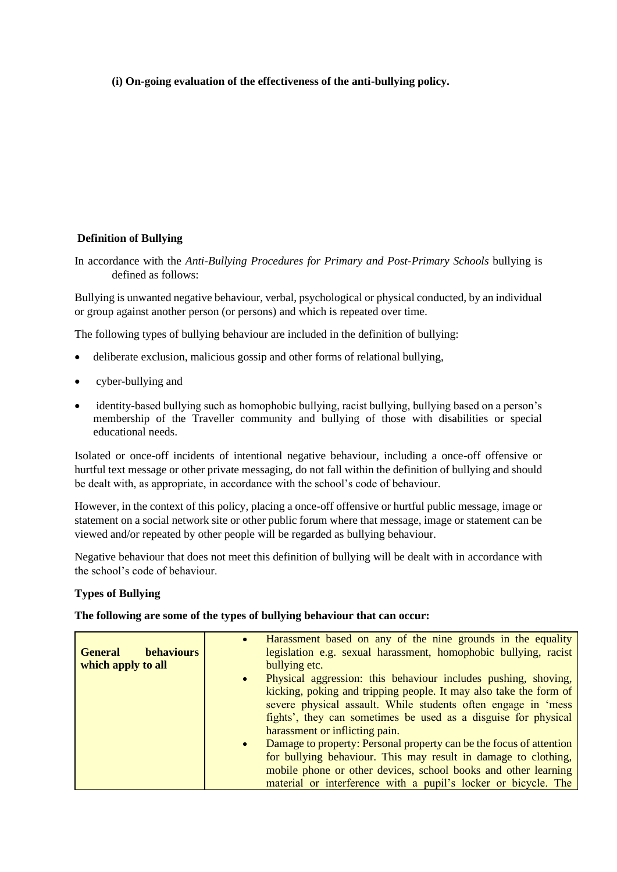**(i) On-going evaluation of the effectiveness of the anti-bullying policy.**

# **Definition of Bullying**

In accordance with the *Anti-Bullying Procedures for Primary and Post-Primary Schools* bullying is defined as follows:

Bullying is unwanted negative behaviour, verbal, psychological or physical conducted, by an individual or group against another person (or persons) and which is repeated over time.

The following types of bullying behaviour are included in the definition of bullying:

- deliberate exclusion, malicious gossip and other forms of relational bullying,
- cyber-bullying and
- identity-based bullying such as homophobic bullying, racist bullying, bullying based on a person's membership of the Traveller community and bullying of those with disabilities or special educational needs.

Isolated or once-off incidents of intentional negative behaviour, including a once-off offensive or hurtful text message or other private messaging, do not fall within the definition of bullying and should be dealt with, as appropriate, in accordance with the school's code of behaviour.

However, in the context of this policy, placing a once-off offensive or hurtful public message, image or statement on a social network site or other public forum where that message, image or statement can be viewed and/or repeated by other people will be regarded as bullying behaviour.

Negative behaviour that does not meet this definition of bullying will be dealt with in accordance with the school's code of behaviour.

#### **Types of Bullying**

**The following are some of the types of bullying behaviour that can occur:**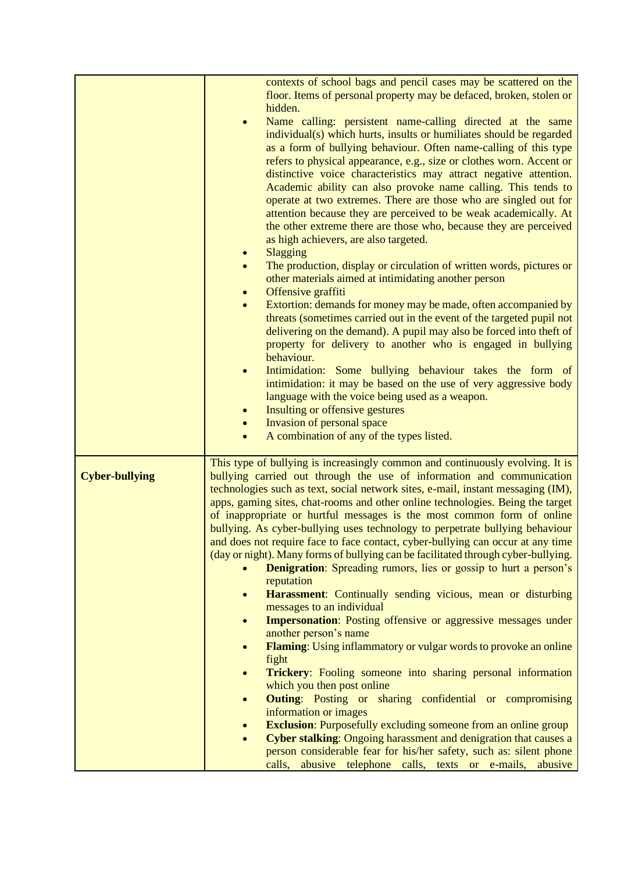|                       | contexts of school bags and pencil cases may be scattered on the<br>floor. Items of personal property may be defaced, broken, stolen or<br>hidden.<br>Name calling: persistent name-calling directed at the same<br>$\bullet$<br>individual(s) which hurts, insults or humiliates should be regarded<br>as a form of bullying behaviour. Often name-calling of this type<br>refers to physical appearance, e.g., size or clothes worn. Accent or<br>distinctive voice characteristics may attract negative attention.<br>Academic ability can also provoke name calling. This tends to<br>operate at two extremes. There are those who are singled out for<br>attention because they are perceived to be weak academically. At<br>the other extreme there are those who, because they are perceived<br>as high achievers, are also targeted.<br>Slagging<br>$\bullet$<br>The production, display or circulation of written words, pictures or<br>other materials aimed at intimidating another person<br>Offensive graffiti<br>$\bullet$<br>Extortion: demands for money may be made, often accompanied by<br>$\bullet$<br>threats (sometimes carried out in the event of the targeted pupil not<br>delivering on the demand). A pupil may also be forced into theft of<br>property for delivery to another who is engaged in bullying<br>behaviour.<br>Intimidation: Some bullying behaviour takes the form of<br>$\bullet$<br>intimidation: it may be based on the use of very aggressive body<br>language with the voice being used as a weapon.<br>Insulting or offensive gestures<br>Invasion of personal space                    |
|-----------------------|-----------------------------------------------------------------------------------------------------------------------------------------------------------------------------------------------------------------------------------------------------------------------------------------------------------------------------------------------------------------------------------------------------------------------------------------------------------------------------------------------------------------------------------------------------------------------------------------------------------------------------------------------------------------------------------------------------------------------------------------------------------------------------------------------------------------------------------------------------------------------------------------------------------------------------------------------------------------------------------------------------------------------------------------------------------------------------------------------------------------------------------------------------------------------------------------------------------------------------------------------------------------------------------------------------------------------------------------------------------------------------------------------------------------------------------------------------------------------------------------------------------------------------------------------------------------------------------------------------------------------------------------|
| <b>Cyber-bullying</b> | A combination of any of the types listed.<br>$\bullet$<br>This type of bullying is increasingly common and continuously evolving. It is<br>bullying carried out through the use of information and communication<br>technologies such as text, social network sites, e-mail, instant messaging (IM),<br>apps, gaming sites, chat-rooms and other online technologies. Being the target<br>of inappropriate or hurtful messages is the most common form of online<br>bullying. As cyber-bullying uses technology to perpetrate bullying behaviour<br>and does not require face to face contact, cyber-bullying can occur at any time<br>(day or night). Many forms of bullying can be facilitated through cyber-bullying.<br><b>Denigration:</b> Spreading rumors, lies or gossip to hurt a person's<br>reputation<br>Harassment: Continually sending vicious, mean or disturbing<br>$\bullet$<br>messages to an individual<br><b>Impersonation:</b> Posting offensive or aggressive messages under<br>$\bullet$<br>another person's name<br>Flaming: Using inflammatory or vulgar words to provoke an online<br>$\bullet$<br>fight<br>Trickery: Fooling someone into sharing personal information<br>$\bullet$<br>which you then post online<br><b>Outing:</b> Posting or sharing confidential or compromising<br>$\bullet$<br>information or images<br><b>Exclusion:</b> Purposefully excluding someone from an online group<br>Cyber stalking: Ongoing harassment and denigration that causes a<br>person considerable fear for his/her safety, such as: silent phone<br>calls, abusive telephone calls, texts or e-mails,<br>abusive |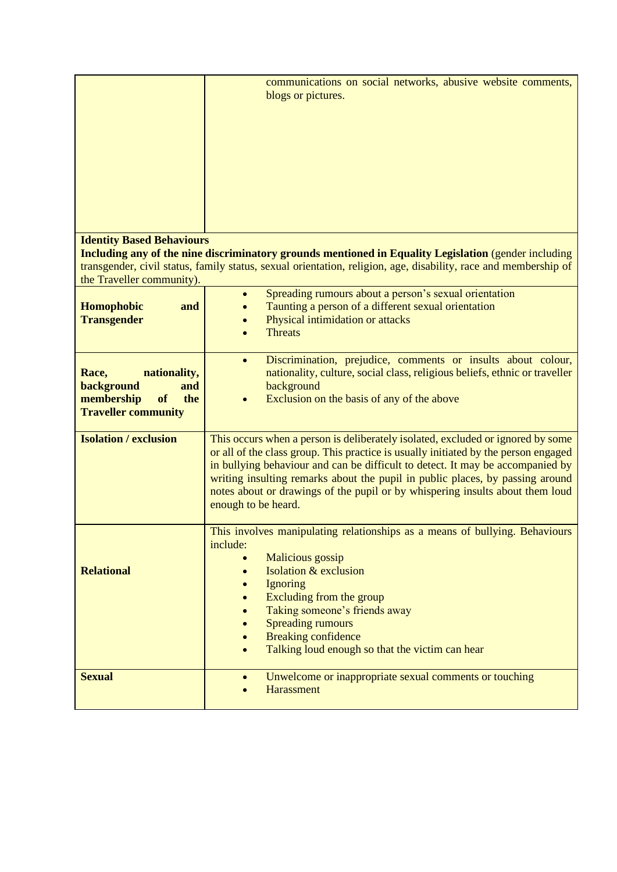|                                  | communications on social networks, abusive website comments,<br>blogs or pictures.                                                                             |
|----------------------------------|----------------------------------------------------------------------------------------------------------------------------------------------------------------|
| <b>Identity Based Behaviours</b> |                                                                                                                                                                |
|                                  | Including any of the nine discriminatory grounds mentioned in Equality Legislation (gender including                                                           |
| the Traveller community).        | transgender, civil status, family status, sexual orientation, religion, age, disability, race and membership of                                                |
|                                  | Spreading rumours about a person's sexual orientation<br>$\bullet$                                                                                             |
| Homophobic<br>and                | Taunting a person of a different sexual orientation                                                                                                            |
| <b>Transgender</b>               | Physical intimidation or attacks                                                                                                                               |
|                                  | <b>Threats</b>                                                                                                                                                 |
|                                  | Discrimination, prejudice, comments or insults about colour,<br>$\bullet$                                                                                      |
| nationality,<br>Race,            | nationality, culture, social class, religious beliefs, ethnic or traveller                                                                                     |
| background<br>and                | background                                                                                                                                                     |
| membership<br>of<br>the          | Exclusion on the basis of any of the above                                                                                                                     |
| <b>Traveller community</b>       |                                                                                                                                                                |
| <b>Isolation / exclusion</b>     | This occurs when a person is deliberately isolated, excluded or ignored by some                                                                                |
|                                  | or all of the class group. This practice is usually initiated by the person engaged                                                                            |
|                                  | in bullying behaviour and can be difficult to detect. It may be accompanied by                                                                                 |
|                                  | writing insulting remarks about the pupil in public places, by passing around<br>notes about or drawings of the pupil or by whispering insults about them loud |
|                                  | enough to be heard.                                                                                                                                            |
|                                  |                                                                                                                                                                |
|                                  | This involves manipulating relationships as a means of bullying. Behaviours                                                                                    |
|                                  | include:<br>Malicious gossip                                                                                                                                   |
| <b>Relational</b>                | Isolation & exclusion<br>$\bullet$                                                                                                                             |
|                                  | Ignoring                                                                                                                                                       |
|                                  | Excluding from the group                                                                                                                                       |
|                                  | Taking someone's friends away<br><b>Spreading rumours</b>                                                                                                      |
|                                  | <b>Breaking confidence</b>                                                                                                                                     |
|                                  | Talking loud enough so that the victim can hear                                                                                                                |
| <b>Sexual</b>                    | Unwelcome or inappropriate sexual comments or touching                                                                                                         |
|                                  | Harassment                                                                                                                                                     |
|                                  |                                                                                                                                                                |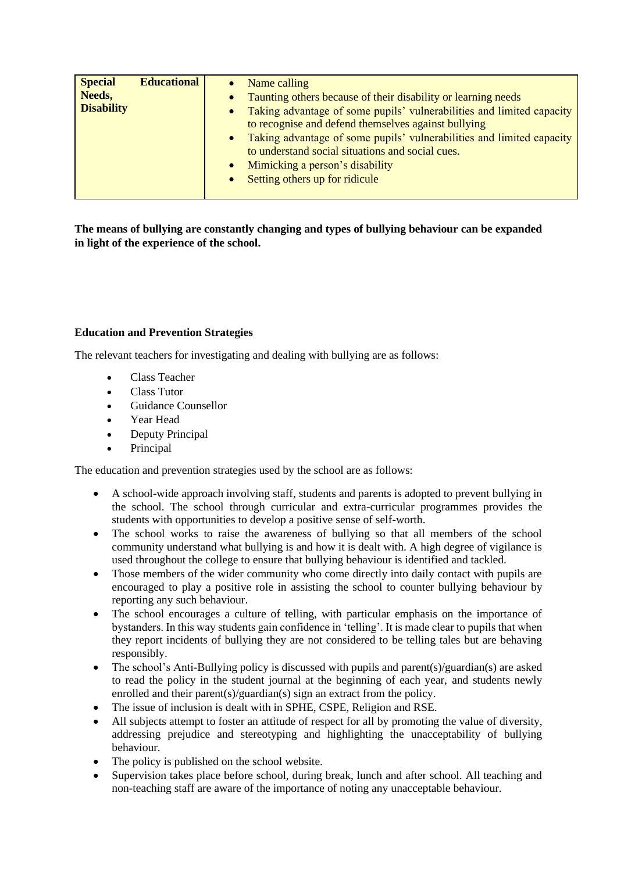| <b>Educational</b> | Name calling<br>• Taunting others because of their disability or learning needs<br>• Taking advantage of some pupils' vulnerabilities and limited capacity<br>to recognise and defend themselves against bullying<br>• Taking advantage of some pupils' vulnerabilities and limited capacity<br>to understand social situations and social cues.<br>• Mimicking a person's disability<br>Setting others up for ridicule<br>$\bullet$ |
|--------------------|--------------------------------------------------------------------------------------------------------------------------------------------------------------------------------------------------------------------------------------------------------------------------------------------------------------------------------------------------------------------------------------------------------------------------------------|
|                    |                                                                                                                                                                                                                                                                                                                                                                                                                                      |
|                    |                                                                                                                                                                                                                                                                                                                                                                                                                                      |

**The means of bullying are constantly changing and types of bullying behaviour can be expanded in light of the experience of the school.** 

# **Education and Prevention Strategies**

The relevant teachers for investigating and dealing with bullying are as follows:

- Class Teacher
- Class Tutor
- Guidance Counsellor
- Year Head
- Deputy Principal
- **Principal**

The education and prevention strategies used by the school are as follows:

- A school-wide approach involving staff, students and parents is adopted to prevent bullying in the school. The school through curricular and extra-curricular programmes provides the students with opportunities to develop a positive sense of self-worth.
- The school works to raise the awareness of bullying so that all members of the school community understand what bullying is and how it is dealt with. A high degree of vigilance is used throughout the college to ensure that bullying behaviour is identified and tackled.
- Those members of the wider community who come directly into daily contact with pupils are encouraged to play a positive role in assisting the school to counter bullying behaviour by reporting any such behaviour.
- The school encourages a culture of telling, with particular emphasis on the importance of bystanders. In this way students gain confidence in 'telling'. It is made clear to pupils that when they report incidents of bullying they are not considered to be telling tales but are behaving responsibly.
- The school's Anti-Bullying policy is discussed with pupils and parent(s)/guardian(s) are asked to read the policy in the student journal at the beginning of each year, and students newly enrolled and their parent(s)/guardian(s) sign an extract from the policy.
- The issue of inclusion is dealt with in SPHE, CSPE, Religion and RSE.
- All subjects attempt to foster an attitude of respect for all by promoting the value of diversity, addressing prejudice and stereotyping and highlighting the unacceptability of bullying behaviour.
- The policy is published on the school website.
- Supervision takes place before school, during break, lunch and after school. All teaching and non-teaching staff are aware of the importance of noting any unacceptable behaviour.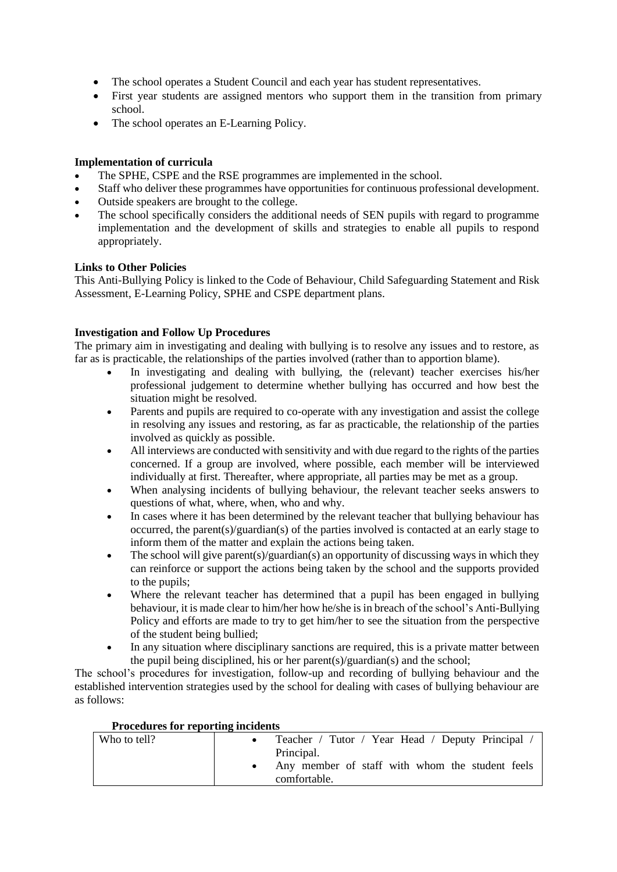- The school operates a Student Council and each year has student representatives.
- First year students are assigned mentors who support them in the transition from primary school.
- The school operates an E-Learning Policy.

## **Implementation of curricula**

- The SPHE, CSPE and the RSE programmes are implemented in the school.
- Staff who deliver these programmes have opportunities for continuous professional development.
- Outside speakers are brought to the college.
- The school specifically considers the additional needs of SEN pupils with regard to programme implementation and the development of skills and strategies to enable all pupils to respond appropriately.

# **Links to Other Policies**

This Anti-Bullying Policy is linked to the Code of Behaviour, Child Safeguarding Statement and Risk Assessment, E-Learning Policy, SPHE and CSPE department plans.

# **Investigation and Follow Up Procedures**

The primary aim in investigating and dealing with bullying is to resolve any issues and to restore, as far as is practicable, the relationships of the parties involved (rather than to apportion blame).

- In investigating and dealing with bullying, the (relevant) teacher exercises his/her professional judgement to determine whether bullying has occurred and how best the situation might be resolved.
- Parents and pupils are required to co-operate with any investigation and assist the college in resolving any issues and restoring, as far as practicable, the relationship of the parties involved as quickly as possible.
- All interviews are conducted with sensitivity and with due regard to the rights of the parties concerned. If a group are involved, where possible, each member will be interviewed individually at first. Thereafter, where appropriate, all parties may be met as a group.
- When analysing incidents of bullying behaviour, the relevant teacher seeks answers to questions of what, where, when, who and why.
- In cases where it has been determined by the relevant teacher that bullying behaviour has occurred, the parent(s)/guardian(s) of the parties involved is contacted at an early stage to inform them of the matter and explain the actions being taken.
- The school will give parent(s)/guardian(s) an opportunity of discussing ways in which they can reinforce or support the actions being taken by the school and the supports provided to the pupils;
- Where the relevant teacher has determined that a pupil has been engaged in bullying behaviour, it is made clear to him/her how he/she is in breach of the school's Anti-Bullying Policy and efforts are made to try to get him/her to see the situation from the perspective of the student being bullied;
- In any situation where disciplinary sanctions are required, this is a private matter between the pupil being disciplined, his or her parent(s)/guardian(s) and the school;

The school's procedures for investigation, follow-up and recording of bullying behaviour and the established intervention strategies used by the school for dealing with cases of bullying behaviour are as follows:

| Who to tell? | Teacher / Tutor / Year Head / Deputy Principal<br>Principal.    |
|--------------|-----------------------------------------------------------------|
|              | Any member of staff with whom the student feels<br>comfortable. |

#### **Procedures for reporting incidents**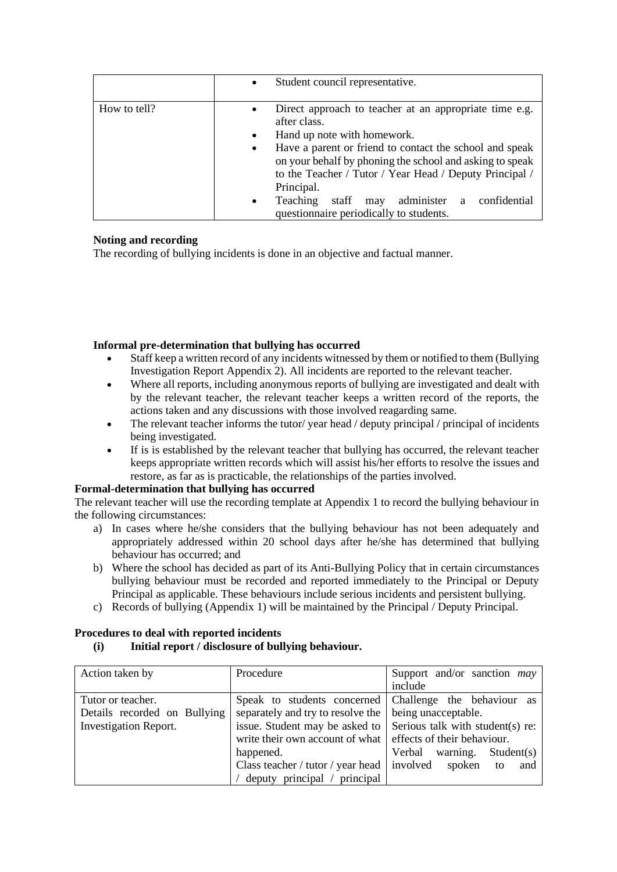|              | Student council representative.<br>$\bullet$                                                                                                                                                                                                                                                                                                                                                                                                                     |
|--------------|------------------------------------------------------------------------------------------------------------------------------------------------------------------------------------------------------------------------------------------------------------------------------------------------------------------------------------------------------------------------------------------------------------------------------------------------------------------|
| How to tell? | Direct approach to teacher at an appropriate time e.g.<br>$\bullet$<br>after class.<br>Hand up note with homework.<br>$\bullet$<br>Have a parent or friend to contact the school and speak<br>$\bullet$<br>on your behalf by phoning the school and asking to speak<br>to the Teacher / Tutor / Year Head / Deputy Principal /<br>Principal.<br>administer a<br>Teaching<br>confidential<br>staff<br>may<br>$\bullet$<br>questionnaire periodically to students. |

# **Noting and recording**

The recording of bullying incidents is done in an objective and factual manner.

# **Informal pre-determination that bullying has occurred**

- Staff keep a written record of any incidents witnessed by them or notified to them (Bullying Investigation Report Appendix 2). All incidents are reported to the relevant teacher.
- Where all reports, including anonymous reports of bullying are investigated and dealt with by the relevant teacher, the relevant teacher keeps a written record of the reports, the actions taken and any discussions with those involved reagarding same.
- The relevant teacher informs the tutor/year head / deputy principal / principal of incidents being investigated.
- If is is established by the relevant teacher that bullying has occurred, the relevant teacher keeps appropriate written records which will assist his/her efforts to resolve the issues and restore, as far as is practicable, the relationships of the parties involved.

#### **Formal-determination that bullying has occurred**

The relevant teacher will use the recording template at Appendix 1 to record the bullying behaviour in the following circumstances:

- a) In cases where he/she considers that the bullying behaviour has not been adequately and appropriately addressed within 20 school days after he/she has determined that bullying behaviour has occurred; and
- b) Where the school has decided as part of its Anti-Bullying Policy that in certain circumstances bullying behaviour must be recorded and reported immediately to the Principal or Deputy Principal as applicable. These behaviours include serious incidents and persistent bullying.
- c) Records of bullying (Appendix 1) will be maintained by the Principal / Deputy Principal.

# **Procedures to deal with reported incidents**

## **(i) Initial report / disclosure of bullying behaviour.**

| Action taken by              | Procedure                                                           | Support and/or sanction $may$    |  |
|------------------------------|---------------------------------------------------------------------|----------------------------------|--|
|                              |                                                                     | include                          |  |
| Tutor or teacher.            | Speak to students concerned                                         | Challenge the behaviour as       |  |
| Details recorded on Bullying | separately and try to resolve the                                   | being unacceptable.              |  |
| <b>Investigation Report.</b> | issue. Student may be asked to                                      | Serious talk with student(s) re: |  |
|                              | write their own account of what $\vert$ effects of their behaviour. |                                  |  |
|                              | happened.                                                           | warning.<br>Verbal<br>Student(s) |  |
|                              | Class teacher / tutor / year head   involved                        | spoken<br>to<br>and              |  |
|                              | deputy principal /<br>principal                                     |                                  |  |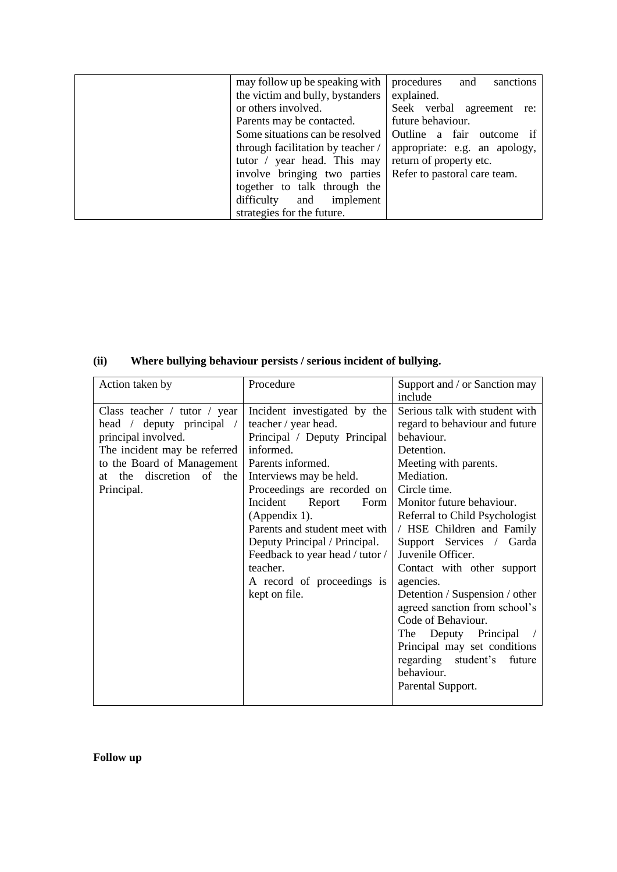| may follow up be speaking with    | procedures<br>sanctions<br>and |
|-----------------------------------|--------------------------------|
| the victim and bully, bystanders  | explained.                     |
| or others involved.               | Seek verbal agreement re:      |
| Parents may be contacted.         | future behaviour.              |
| Some situations can be resolved   | Outline a fair outcome if      |
| through facilitation by teacher / | appropriate: e.g. an apology,  |
| tutor / year head. This may       | return of property etc.        |
| involve bringing two parties      | Refer to pastoral care team.   |
| together to talk through the      |                                |
| implement<br>difficulty and       |                                |
| strategies for the future.        |                                |

# **(ii) Where bullying behaviour persists / serious incident of bullying.**

| Action taken by                                                                                                                                                                           | Procedure                                                                                                                                                                                                                                                                                                                                                                                       | Support and / or Sanction may                                                                                                                                                                                                                                                                                                                                                                                                                                                                                                                                          |
|-------------------------------------------------------------------------------------------------------------------------------------------------------------------------------------------|-------------------------------------------------------------------------------------------------------------------------------------------------------------------------------------------------------------------------------------------------------------------------------------------------------------------------------------------------------------------------------------------------|------------------------------------------------------------------------------------------------------------------------------------------------------------------------------------------------------------------------------------------------------------------------------------------------------------------------------------------------------------------------------------------------------------------------------------------------------------------------------------------------------------------------------------------------------------------------|
|                                                                                                                                                                                           |                                                                                                                                                                                                                                                                                                                                                                                                 | include                                                                                                                                                                                                                                                                                                                                                                                                                                                                                                                                                                |
| Class teacher / tutor / year<br>head / deputy principal<br>principal involved.<br>The incident may be referred<br>to the Board of Management<br>the discretion of the<br>at<br>Principal. | Incident investigated by the<br>teacher / year head.<br>Principal / Deputy Principal<br>informed.<br>Parents informed.<br>Interviews may be held.<br>Proceedings are recorded on<br>Incident<br>Report<br>Form<br>(Appendix 1).<br>Parents and student meet with<br>Deputy Principal / Principal.<br>Feedback to year head / tutor /<br>teacher.<br>A record of proceedings is<br>kept on file. | Serious talk with student with<br>regard to behaviour and future<br>behaviour.<br>Detention.<br>Meeting with parents.<br>Mediation.<br>Circle time.<br>Monitor future behaviour.<br>Referral to Child Psychologist<br>/ HSE Children and Family<br>Support Services / Garda<br>Juvenile Officer.<br>Contact with other support<br>agencies.<br>Detention / Suspension / other<br>agreed sanction from school's<br>Code of Behaviour.<br>Deputy<br>Principal<br>The<br>Principal may set conditions<br>regarding student's<br>future<br>behaviour.<br>Parental Support. |
|                                                                                                                                                                                           |                                                                                                                                                                                                                                                                                                                                                                                                 |                                                                                                                                                                                                                                                                                                                                                                                                                                                                                                                                                                        |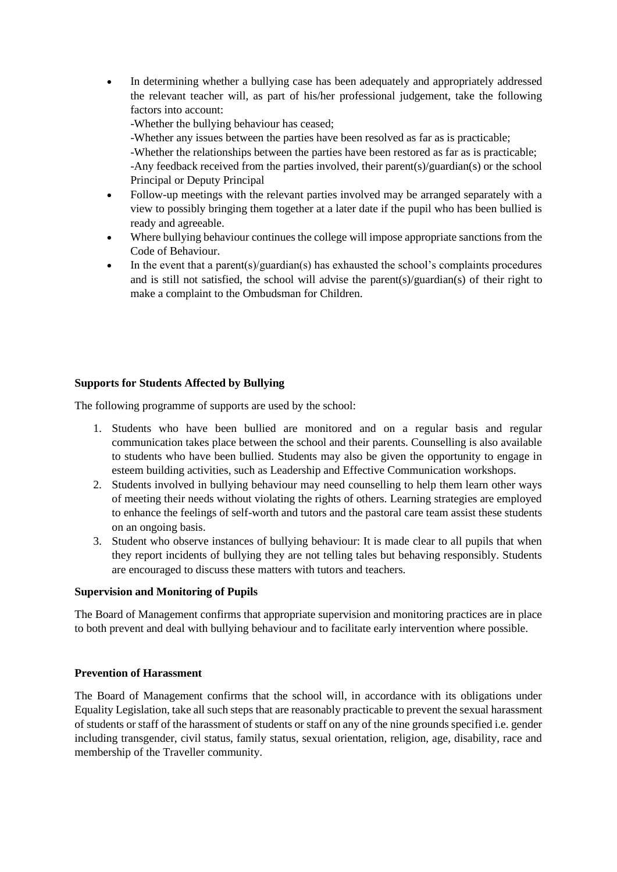• In determining whether a bullying case has been adequately and appropriately addressed the relevant teacher will, as part of his/her professional judgement, take the following factors into account:

-Whether the bullying behaviour has ceased;

-Whether any issues between the parties have been resolved as far as is practicable;

-Whether the relationships between the parties have been restored as far as is practicable;

-Any feedback received from the parties involved, their parent(s)/guardian(s) or the school Principal or Deputy Principal

- Follow-up meetings with the relevant parties involved may be arranged separately with a view to possibly bringing them together at a later date if the pupil who has been bullied is ready and agreeable.
- Where bullying behaviour continues the college will impose appropriate sanctions from the Code of Behaviour.
- In the event that a parent(s)/guardian(s) has exhausted the school's complaints procedures and is still not satisfied, the school will advise the parent(s)/guardian(s) of their right to make a complaint to the Ombudsman for Children.

# **Supports for Students Affected by Bullying**

The following programme of supports are used by the school:

- 1. Students who have been bullied are monitored and on a regular basis and regular communication takes place between the school and their parents. Counselling is also available to students who have been bullied. Students may also be given the opportunity to engage in esteem building activities, such as Leadership and Effective Communication workshops.
- 2. Students involved in bullying behaviour may need counselling to help them learn other ways of meeting their needs without violating the rights of others. Learning strategies are employed to enhance the feelings of self-worth and tutors and the pastoral care team assist these students on an ongoing basis.
- 3. Student who observe instances of bullying behaviour: It is made clear to all pupils that when they report incidents of bullying they are not telling tales but behaving responsibly. Students are encouraged to discuss these matters with tutors and teachers.

#### **Supervision and Monitoring of Pupils**

The Board of Management confirms that appropriate supervision and monitoring practices are in place to both prevent and deal with bullying behaviour and to facilitate early intervention where possible.

#### **Prevention of Harassment**

The Board of Management confirms that the school will, in accordance with its obligations under Equality Legislation, take all such steps that are reasonably practicable to prevent the sexual harassment of students or staff of the harassment of students or staff on any of the nine grounds specified i.e. gender including transgender, civil status, family status, sexual orientation, religion, age, disability, race and membership of the Traveller community.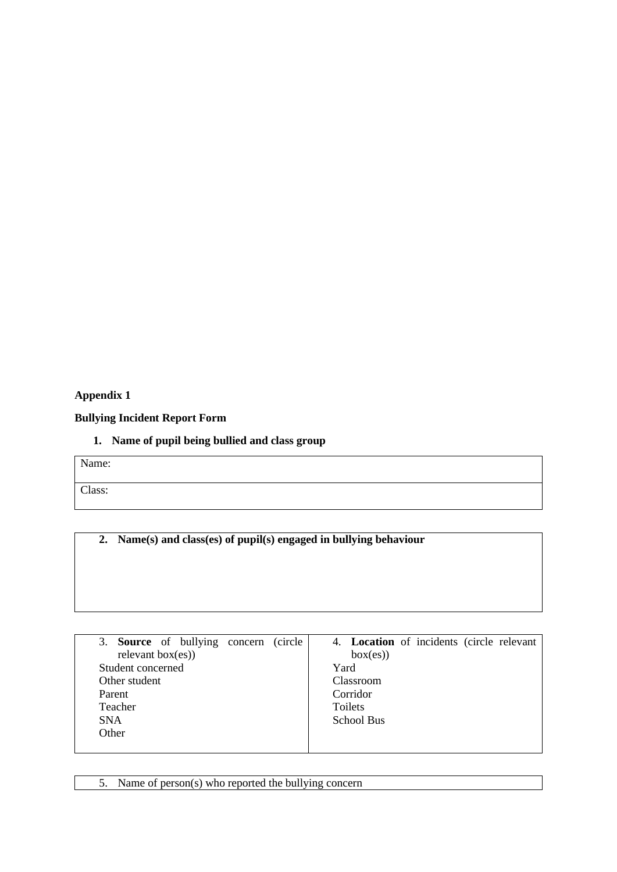# **Appendix 1**

# **Bullying Incident Report Form**

**1. Name of pupil being bullied and class group** 

Name:

Class:

**2. Name(s) and class(es) of pupil(s) engaged in bullying behaviour** 

| 3. <b>Source</b> of bullying concern (circle | 4. Location of incidents (circle relevant |
|----------------------------------------------|-------------------------------------------|
| relevant $box(es)$                           | box(es)                                   |
| Student concerned                            | Yard                                      |
| Other student                                | Classroom                                 |
| Parent                                       | Corridor                                  |
| Teacher                                      | <b>Toilets</b>                            |
| <b>SNA</b>                                   | School Bus                                |
| Other                                        |                                           |
|                                              |                                           |

5. Name of person(s) who reported the bullying concern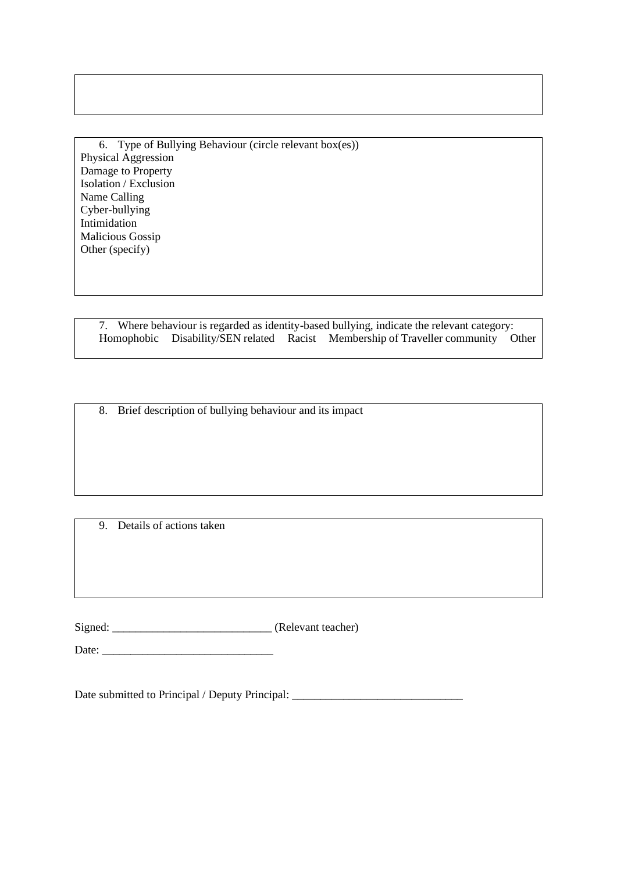6. Type of Bullying Behaviour (circle relevant box(es)) Physical Aggression Damage to Property Isolation / Exclusion Name Calling Cyber-bullying Intimidation Malicious Gossip Other (specify)

7. Where behaviour is regarded as identity-based bullying, indicate the relevant category: Homophobic Disability/SEN related Racist Membership of Traveller community Other

8. Brief description of bullying behaviour and its impact

9. Details of actions taken

Signed: \_\_\_\_\_\_\_\_\_\_\_\_\_\_\_\_\_\_\_\_\_\_\_\_\_\_\_\_ (Relevant teacher)

Date: \_\_\_\_\_\_\_\_\_\_\_\_\_\_\_\_\_\_\_\_\_\_\_\_\_\_\_\_\_\_

Date submitted to Principal / Deputy Principal: \_\_\_\_\_\_\_\_\_\_\_\_\_\_\_\_\_\_\_\_\_\_\_\_\_\_\_\_\_\_\_\_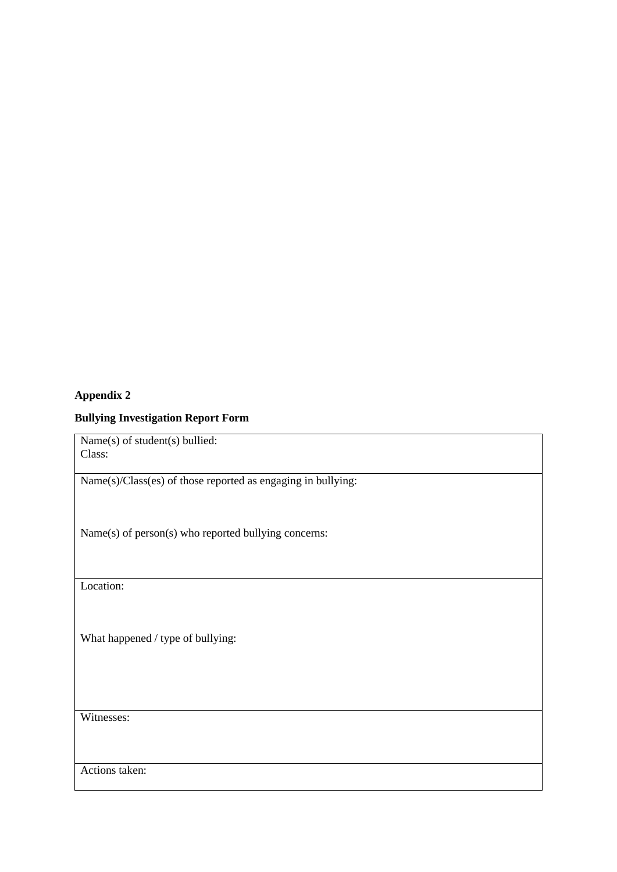# **Appendix 2**

# **Bullying Investigation Report Form**

Name(s) of student(s) bullied: Class:

Name(s)/Class(es) of those reported as engaging in bullying:

Name(s) of person(s) who reported bullying concerns:

Location:

What happened / type of bullying:

Witnesses:

Actions taken: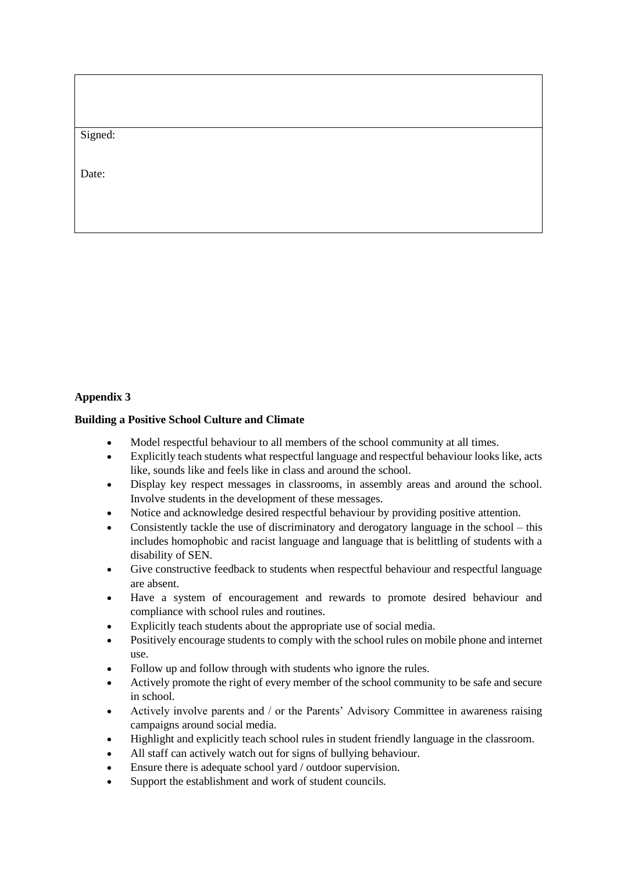| Signed: |
|---------|
|---------|

Date:

# **Appendix 3**

# **Building a Positive School Culture and Climate**

- Model respectful behaviour to all members of the school community at all times.
- Explicitly teach students what respectful language and respectful behaviour looks like, acts like, sounds like and feels like in class and around the school.
- Display key respect messages in classrooms, in assembly areas and around the school. Involve students in the development of these messages.
- Notice and acknowledge desired respectful behaviour by providing positive attention.
- Consistently tackle the use of discriminatory and derogatory language in the school this includes homophobic and racist language and language that is belittling of students with a disability of SEN.
- Give constructive feedback to students when respectful behaviour and respectful language are absent.
- Have a system of encouragement and rewards to promote desired behaviour and compliance with school rules and routines.
- Explicitly teach students about the appropriate use of social media.
- Positively encourage students to comply with the school rules on mobile phone and internet use.
- Follow up and follow through with students who ignore the rules.
- Actively promote the right of every member of the school community to be safe and secure in school.
- Actively involve parents and / or the Parents' Advisory Committee in awareness raising campaigns around social media.
- Highlight and explicitly teach school rules in student friendly language in the classroom.
- All staff can actively watch out for signs of bullying behaviour.
- Ensure there is adequate school yard / outdoor supervision.
- Support the establishment and work of student councils.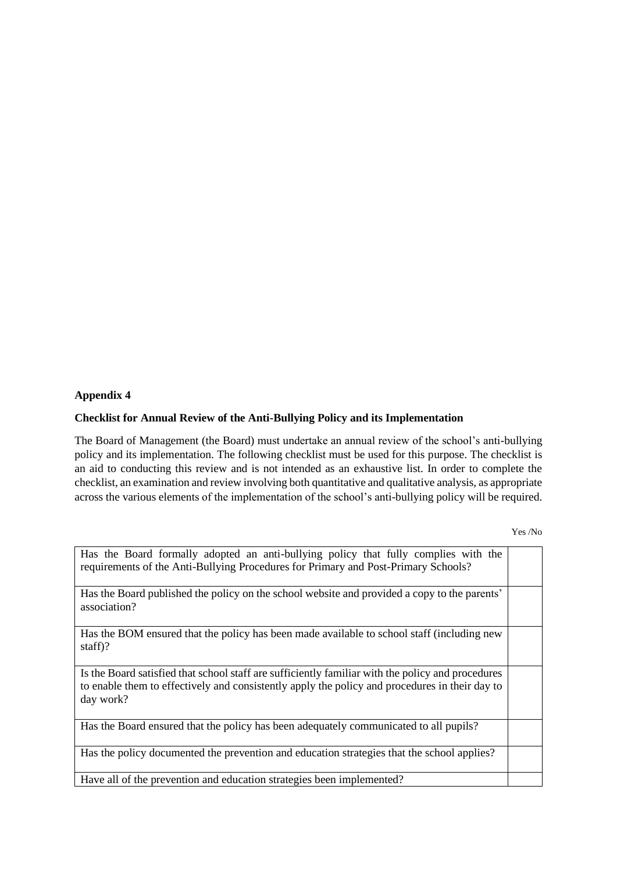# **Appendix 4**

# **Checklist for Annual Review of the Anti-Bullying Policy and its Implementation**

The Board of Management (the Board) must undertake an annual review of the school's anti-bullying policy and its implementation. The following checklist must be used for this purpose. The checklist is an aid to conducting this review and is not intended as an exhaustive list. In order to complete the checklist, an examination and review involving both quantitative and qualitative analysis, as appropriate across the various elements of the implementation of the school's anti-bullying policy will be required.

| Has the Board formally adopted an anti-bullying policy that fully complies with the<br>requirements of the Anti-Bullying Procedures for Primary and Post-Primary Schools?                                        |  |
|------------------------------------------------------------------------------------------------------------------------------------------------------------------------------------------------------------------|--|
| Has the Board published the policy on the school website and provided a copy to the parents'<br>association?                                                                                                     |  |
| Has the BOM ensured that the policy has been made available to school staff (including new<br>staff $)$ ?                                                                                                        |  |
| Is the Board satisfied that school staff are sufficiently familiar with the policy and procedures<br>to enable them to effectively and consistently apply the policy and procedures in their day to<br>day work? |  |
| Has the Board ensured that the policy has been adequately communicated to all pupils?                                                                                                                            |  |
| Has the policy documented the prevention and education strategies that the school applies?                                                                                                                       |  |
| Have all of the prevention and education strategies been implemented?                                                                                                                                            |  |
|                                                                                                                                                                                                                  |  |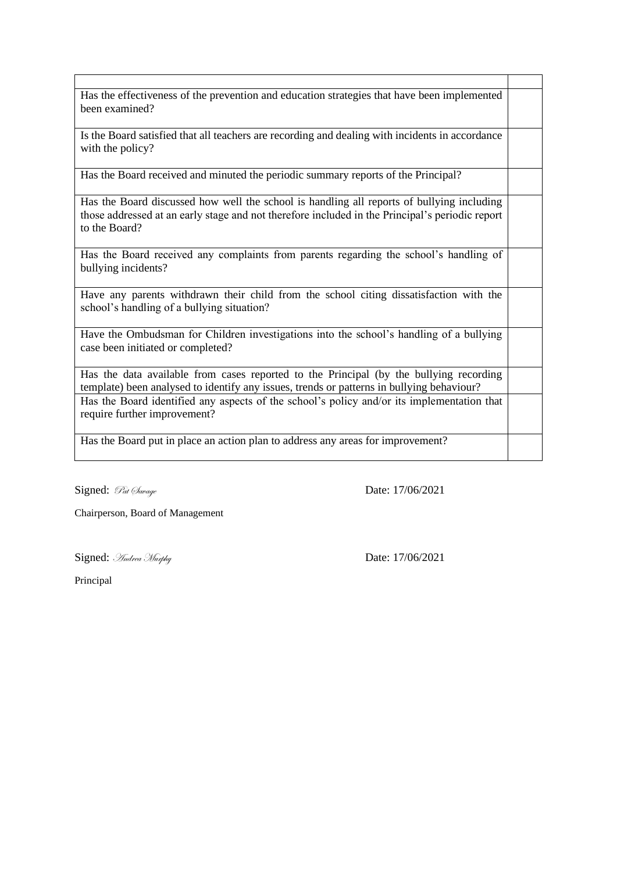Has the effectiveness of the prevention and education strategies that have been implemented been examined?

Is the Board satisfied that all teachers are recording and dealing with incidents in accordance with the policy?

Has the Board received and minuted the periodic summary reports of the Principal?

Has the Board discussed how well the school is handling all reports of bullying including those addressed at an early stage and not therefore included in the Principal's periodic report to the Board?

Has the Board received any complaints from parents regarding the school's handling of bullying incidents?

Have any parents withdrawn their child from the school citing dissatisfaction with the school's handling of a bullying situation?

Have the Ombudsman for Children investigations into the school's handling of a bullying case been initiated or completed?

Has the data available from cases reported to the Principal (by the bullying recording template) been analysed to identify any issues, trends or patterns in bullying behaviour? Has the Board identified any aspects of the school's policy and/or its implementation that require further improvement?

Has the Board put in place an action plan to address any areas for improvement?

Signed:  $\mathcal{P}_{at}$   $\mathcal{Q}_{avage}$  Date: 17/06/2021

Chairperson, Board of Management

Signed: Andrea Murphy Date: 17/06/2021

Principal